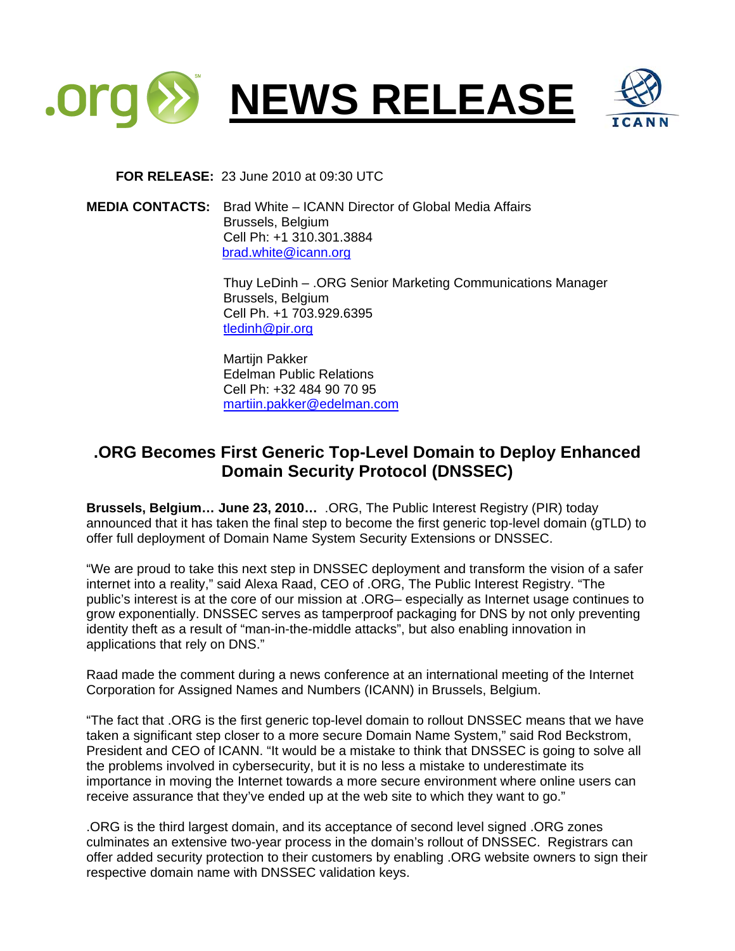

 **FOR RELEASE:** 23 June 2010 at 09:30 UTC

**MEDIA CONTACTS:** Brad White – ICANN Director of Global Media Affairs Brussels, Belgium Cell Ph: +1 310.301.3884 [brad.white@icann.org](mailto:brad.white@icann.org)

> Thuy LeDinh – .ORG Senior Marketing Communications Manager Brussels, Belgium Cell Ph. +1 703.929.6395 [tledinh@pir.org](mailto:tledinh@pir.org)

 Martijn Pakker Edelman Public Relations Cell Ph: +32 484 90 70 95 [martiin.pakker@edelman.com](mailto:martiin.pakker@edelman.com)

## **.ORG Becomes First Generic Top-Level Domain to Deploy Enhanced Domain Security Protocol (DNSSEC)**

**Brussels, Belgium… June 23, 2010…** .ORG, The Public Interest Registry (PIR) today announced that it has taken the final step to become the first generic top-level domain (gTLD) to offer full deployment of Domain Name System Security Extensions or DNSSEC.

"We are proud to take this next step in DNSSEC deployment and transform the vision of a safer internet into a reality," said Alexa Raad, CEO of .ORG, The Public Interest Registry. "The public's interest is at the core of our mission at .ORG– especially as Internet usage continues to grow exponentially. DNSSEC serves as tamperproof packaging for DNS by not only preventing identity theft as a result of "man-in-the-middle attacks", but also enabling innovation in applications that rely on DNS."

Raad made the comment during a news conference at an international meeting of the Internet Corporation for Assigned Names and Numbers (ICANN) in Brussels, Belgium.

"The fact that .ORG is the first generic top-level domain to rollout DNSSEC means that we have taken a significant step closer to a more secure Domain Name System," said Rod Beckstrom, President and CEO of ICANN. "It would be a mistake to think that DNSSEC is going to solve all the problems involved in cybersecurity, but it is no less a mistake to underestimate its importance in moving the Internet towards a more secure environment where online users can receive assurance that they've ended up at the web site to which they want to go."

.ORG is the third largest domain, and its acceptance of second level signed .ORG zones culminates an extensive two-year process in the domain's rollout of DNSSEC. Registrars can offer added security protection to their customers by enabling .ORG website owners to sign their respective domain name with DNSSEC validation keys.